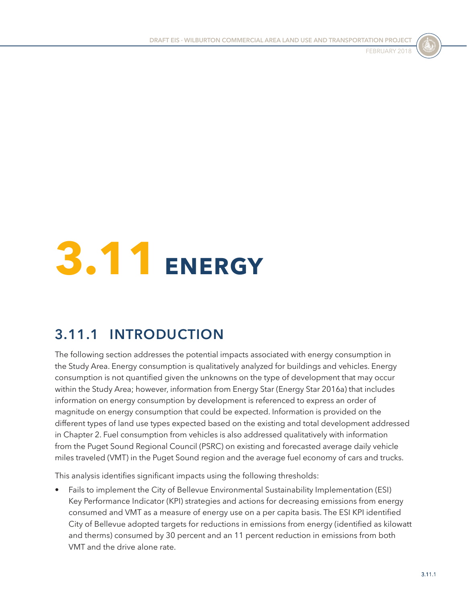



# **3.11 ENERGY**

# **3.11.1 INTRODUCTION**

The following section addresses the potential impacts associated with energy consumption in the Study Area. Energy consumption is qualitatively analyzed for buildings and vehicles. Energy consumption is not quantified given the unknowns on the type of development that may occur within the Study Area; however, information from Energy Star (Energy Star 2016a) that includes information on energy consumption by development is referenced to express an order of magnitude on energy consumption that could be expected. Information is provided on the different types of land use types expected based on the existing and total development addressed in Chapter 2. Fuel consumption from vehicles is also addressed qualitatively with information from the Puget Sound Regional Council (PSRC) on existing and forecasted average daily vehicle miles traveled (VMT) in the Puget Sound region and the average fuel economy of cars and trucks.

This analysis identifies significant impacts using the following thresholds:

• Fails to implement the City of Bellevue Environmental Sustainability Implementation (ESI) Key Performance Indicator (KPI) strategies and actions for decreasing emissions from energy consumed and VMT as a measure of energy use on a per capita basis. The ESI KPI identified City of Bellevue adopted targets for reductions in emissions from energy (identified as kilowatt and therms) consumed by 30 percent and an 11 percent reduction in emissions from both VMT and the drive alone rate.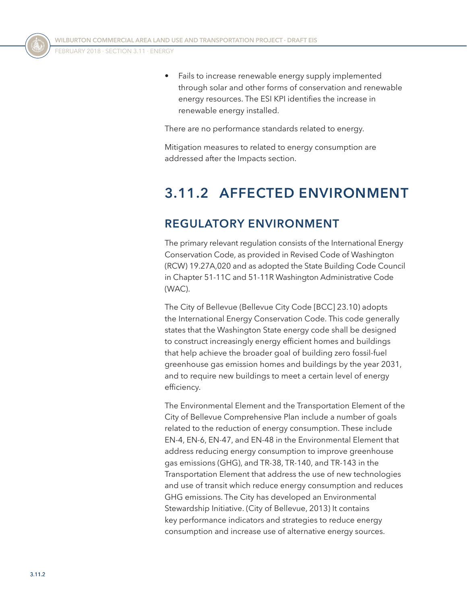• Fails to increase renewable energy supply implemented through solar and other forms of conservation and renewable energy resources. The ESI KPI identifies the increase in renewable energy installed.

There are no performance standards related to energy.

Mitigation measures to related to energy consumption are addressed after the Impacts section.

# **3.11.2 AFFECTED ENVIRONMENT**

## **REGULATORY ENVIRONMENT**

The primary relevant regulation consists of the International Energy Conservation Code, as provided in Revised Code of Washington (RCW) 19.27A,020 and as adopted the State Building Code Council in Chapter 51-11C and 51-11R Washington Administrative Code (WAC).

The City of Bellevue (Bellevue City Code [BCC] 23.10) adopts the International Energy Conservation Code. This code generally states that the Washington State energy code shall be designed to construct increasingly energy efficient homes and buildings that help achieve the broader goal of building zero fossil-fuel greenhouse gas emission homes and buildings by the year 2031, and to require new buildings to meet a certain level of energy efficiency.

The Environmental Element and the Transportation Element of the City of Bellevue Comprehensive Plan include a number of goals related to the reduction of energy consumption. These include EN-4, EN-6, EN-47, and EN-48 in the Environmental Element that address reducing energy consumption to improve greenhouse gas emissions (GHG), and TR-38, TR-140, and TR-143 in the Transportation Element that address the use of new technologies and use of transit which reduce energy consumption and reduces GHG emissions. The City has developed an Environmental Stewardship Initiative. (City of Bellevue, 2013) It contains key performance indicators and strategies to reduce energy consumption and increase use of alternative energy sources.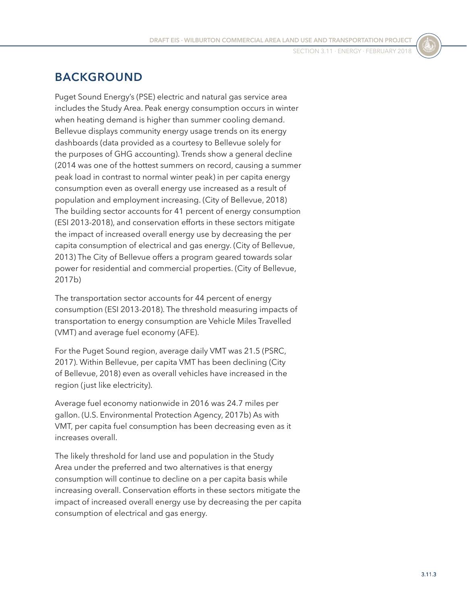## **BACKGROUND**

Puget Sound Energy's (PSE) electric and natural gas service area includes the Study Area. Peak energy consumption occurs in winter when heating demand is higher than summer cooling demand. Bellevue displays community energy usage trends on its energy dashboards (data provided as a courtesy to Bellevue solely for the purposes of GHG accounting). Trends show a general decline (2014 was one of the hottest summers on record, causing a summer peak load in contrast to normal winter peak) in per capita energy consumption even as overall energy use increased as a result of population and employment increasing. (City of Bellevue, 2018) The building sector accounts for 41 percent of energy consumption (ESI 2013-2018), and conservation efforts in these sectors mitigate the impact of increased overall energy use by decreasing the per capita consumption of electrical and gas energy. (City of Bellevue, 2013) The City of Bellevue offers a program geared towards solar power for residential and commercial properties. (City of Bellevue, 2017b)

The transportation sector accounts for 44 percent of energy consumption (ESI 2013-2018). The threshold measuring impacts of transportation to energy consumption are Vehicle Miles Travelled (VMT) and average fuel economy (AFE).

For the Puget Sound region, average daily VMT was 21.5 (PSRC, 2017). Within Bellevue, per capita VMT has been declining (City of Bellevue, 2018) even as overall vehicles have increased in the region (just like electricity).

Average fuel economy nationwide in 2016 was 24.7 miles per gallon. (U.S. Environmental Protection Agency, 2017b) As with VMT, per capita fuel consumption has been decreasing even as it increases overall.

The likely threshold for land use and population in the Study Area under the preferred and two alternatives is that energy consumption will continue to decline on a per capita basis while increasing overall. Conservation efforts in these sectors mitigate the impact of increased overall energy use by decreasing the per capita consumption of electrical and gas energy.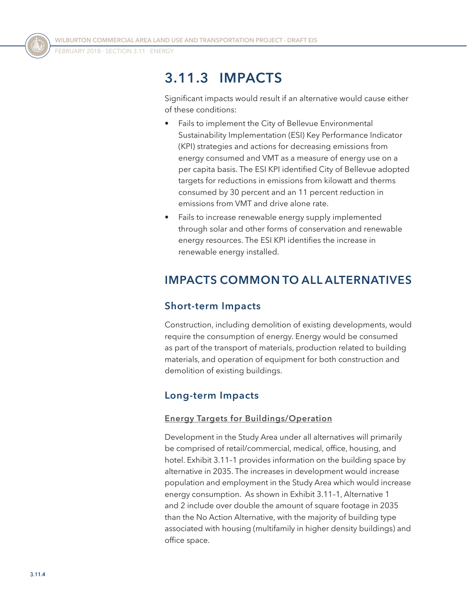FEBRUARY 2018 · SECTION 3.11 · ENERGY

# **3.11.3 IMPACTS**

Significant impacts would result if an alternative would cause either of these conditions:

- Fails to implement the City of Bellevue Environmental Sustainability Implementation (ESI) Key Performance Indicator (KPI) strategies and actions for decreasing emissions from energy consumed and VMT as a measure of energy use on a per capita basis. The ESI KPI identified City of Bellevue adopted targets for reductions in emissions from kilowatt and therms consumed by 30 percent and an 11 percent reduction in emissions from VMT and drive alone rate.
- Fails to increase renewable energy supply implemented through solar and other forms of conservation and renewable energy resources. The ESI KPI identifies the increase in renewable energy installed.

# **IMPACTS COMMON TO ALL ALTERNATIVES**

#### **Short-term Impacts**

Construction, including demolition of existing developments, would require the consumption of energy. Energy would be consumed as part of the transport of materials, production related to building materials, and operation of equipment for both construction and demolition of existing buildings.

#### **Long-term Impacts**

#### **Energy Targets for Buildings/Operation**

Development in the Study Area under all alternatives will primarily be comprised of retail/commercial, medical, office, housing, and hotel. [Exhibit 3.11–1](#page-4-0) provides information on the building space by alternative in 2035. The increases in development would increase population and employment in the Study Area which would increase energy consumption. As shown in [Exhibit 3.11–1](#page-4-0), Alternative 1 and 2 include over double the amount of square footage in 2035 than the No Action Alternative, with the majority of building type associated with housing (multifamily in higher density buildings) and office space.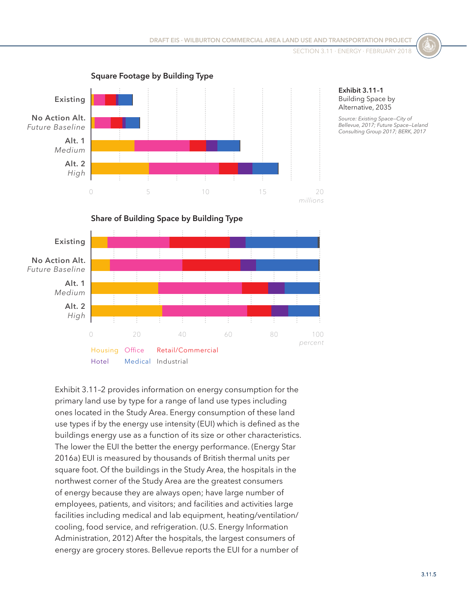

#### <span id="page-4-0"></span>**Exhibit 3.11–1** Building Space by Alternative, 2035

*Source: Existing Space—City of Bellevue, 2017; Future Space—Leland Consulting Group 2017; BERK, 2017*



[Exhibit 3.11–2](#page-5-0) provides information on energy consumption for the primary land use by type for a range of land use types including ones located in the Study Area. Energy consumption of these land use types if by the energy use intensity (EUI) which is defined as the buildings energy use as a function of its size or other characteristics. The lower the EUI the better the energy performance. (Energy Star 2016a) EUI is measured by thousands of British thermal units per square foot. Of the buildings in the Study Area, the hospitals in the northwest corner of the Study Area are the greatest consumers of energy because they are always open; have large number of employees, patients, and visitors; and facilities and activities large facilities including medical and lab equipment, heating/ventilation/ cooling, food service, and refrigeration. (U.S. Energy Information Administration, 2012) After the hospitals, the largest consumers of energy are grocery stores. Bellevue reports the EUI for a number of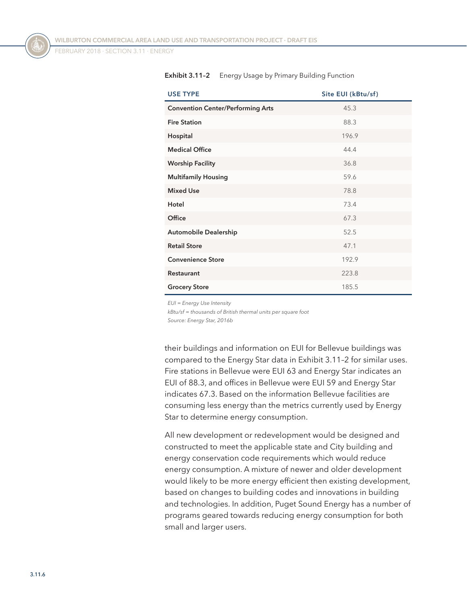FEBRUARY 2018 · SECTION 3.11 · ENERGY

| <b>USE TYPE</b>                          | Site EUI (kBtu/sf) |
|------------------------------------------|--------------------|
| <b>Convention Center/Performing Arts</b> | 45.3               |
| <b>Fire Station</b>                      | 88.3               |
| Hospital                                 | 196.9              |
| <b>Medical Office</b>                    | 44.4               |
| <b>Worship Facility</b>                  | 36.8               |
| <b>Multifamily Housing</b>               | 59.6               |
| <b>Mixed Use</b>                         | 78.8               |
| Hotel                                    | 73.4               |
| Office                                   | 67.3               |
| <b>Automobile Dealership</b>             | 52.5               |
| <b>Retail Store</b>                      | 47.1               |
| <b>Convenience Store</b>                 | 192.9              |
| <b>Restaurant</b>                        | 223.8              |
| <b>Grocery Store</b>                     | 185.5              |

<span id="page-5-0"></span>**Exhibit 3.11–2** Energy Usage by Primary Building Function

*EUI = Energy Use Intensity*

*kBtu/sf = thousands of British thermal units per square foot*

*Source: Energy Star, 2016b*

their buildings and information on EUI for Bellevue buildings was compared to the Energy Star data in [Exhibit 3.11–2](#page-5-0) for similar uses. Fire stations in Bellevue were EUI 63 and Energy Star indicates an EUI of 88.3, and offices in Bellevue were EUI 59 and Energy Star indicates 67.3. Based on the information Bellevue facilities are consuming less energy than the metrics currently used by Energy Star to determine energy consumption.

All new development or redevelopment would be designed and constructed to meet the applicable state and City building and energy conservation code requirements which would reduce energy consumption. A mixture of newer and older development would likely to be more energy efficient then existing development, based on changes to building codes and innovations in building and technologies. In addition, Puget Sound Energy has a number of programs geared towards reducing energy consumption for both small and larger users.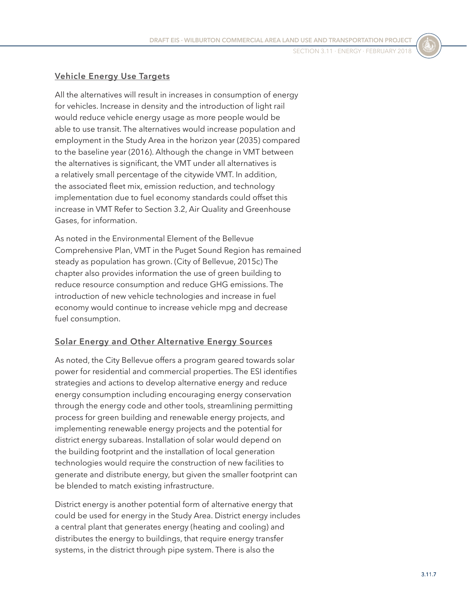#### **Vehicle Energy Use Targets**

All the alternatives will result in increases in consumption of energy for vehicles. Increase in density and the introduction of light rail would reduce vehicle energy usage as more people would be able to use transit. The alternatives would increase population and employment in the Study Area in the horizon year (2035) compared to the baseline year (2016). Although the change in VMT between the alternatives is significant, the VMT under all alternatives is a relatively small percentage of the citywide VMT. In addition, the associated fleet mix, emission reduction, and technology implementation due to fuel economy standards could offset this increase in VMT Refer to Section 3.2, Air Quality and Greenhouse Gases, for information.

As noted in the Environmental Element of the Bellevue Comprehensive Plan, VMT in the Puget Sound Region has remained steady as population has grown. (City of Bellevue, 2015c) The chapter also provides information the use of green building to reduce resource consumption and reduce GHG emissions. The introduction of new vehicle technologies and increase in fuel economy would continue to increase vehicle mpg and decrease fuel consumption.

#### **Solar Energy and Other Alternative Energy Sources**

As noted, the City Bellevue offers a program geared towards solar power for residential and commercial properties. The ESI identifies strategies and actions to develop alternative energy and reduce energy consumption including encouraging energy conservation through the energy code and other tools, streamlining permitting process for green building and renewable energy projects, and implementing renewable energy projects and the potential for district energy subareas. Installation of solar would depend on the building footprint and the installation of local generation technologies would require the construction of new facilities to generate and distribute energy, but given the smaller footprint can be blended to match existing infrastructure.

District energy is another potential form of alternative energy that could be used for energy in the Study Area. District energy includes a central plant that generates energy (heating and cooling) and distributes the energy to buildings, that require energy transfer systems, in the district through pipe system. There is also the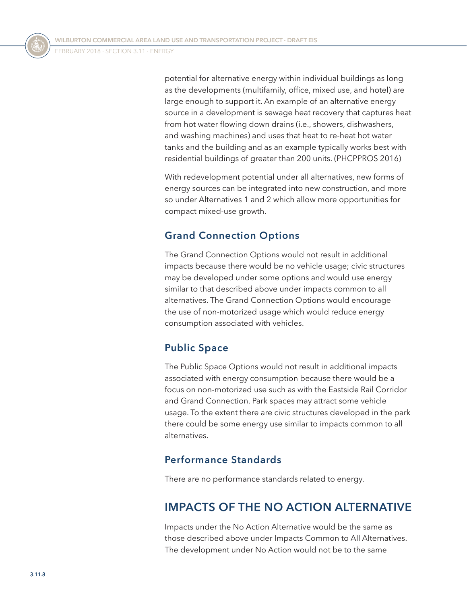potential for alternative energy within individual buildings as long as the developments (multifamily, office, mixed use, and hotel) are large enough to support it. An example of an alternative energy source in a development is sewage heat recovery that captures heat from hot water flowing down drains (i.e., showers, dishwashers, and washing machines) and uses that heat to re-heat hot water tanks and the building and as an example typically works best with residential buildings of greater than 200 units. (PHCPPROS 2016)

With redevelopment potential under all alternatives, new forms of energy sources can be integrated into new construction, and more so under Alternatives 1 and 2 which allow more opportunities for compact mixed-use growth.

#### **Grand Connection Options**

The Grand Connection Options would not result in additional impacts because there would be no vehicle usage; civic structures may be developed under some options and would use energy similar to that described above under impacts common to all alternatives. The Grand Connection Options would encourage the use of non-motorized usage which would reduce energy consumption associated with vehicles.

#### **Public Space**

The Public Space Options would not result in additional impacts associated with energy consumption because there would be a focus on non-motorized use such as with the Eastside Rail Corridor and Grand Connection. Park spaces may attract some vehicle usage. To the extent there are civic structures developed in the park there could be some energy use similar to impacts common to all alternatives.

#### **Performance Standards**

There are no performance standards related to energy.

# **IMPACTS OF THE NO ACTION ALTERNATIVE**

Impacts under the No Action Alternative would be the same as those described above under Impacts Common to All Alternatives. The development under No Action would not be to the same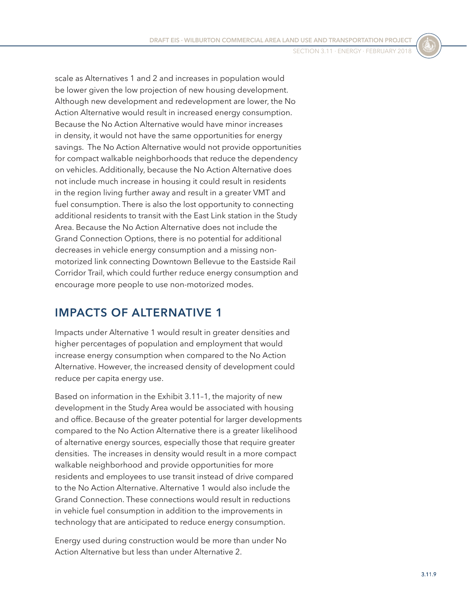scale as Alternatives 1 and 2 and increases in population would be lower given the low projection of new housing development. Although new development and redevelopment are lower, the No Action Alternative would result in increased energy consumption. Because the No Action Alternative would have minor increases in density, it would not have the same opportunities for energy savings. The No Action Alternative would not provide opportunities for compact walkable neighborhoods that reduce the dependency on vehicles. Additionally, because the No Action Alternative does not include much increase in housing it could result in residents in the region living further away and result in a greater VMT and fuel consumption. There is also the lost opportunity to connecting additional residents to transit with the East Link station in the Study Area. Because the No Action Alternative does not include the Grand Connection Options, there is no potential for additional decreases in vehicle energy consumption and a missing nonmotorized link connecting Downtown Bellevue to the Eastside Rail Corridor Trail, which could further reduce energy consumption and encourage more people to use non-motorized modes.

## **IMPACTS OF ALTERNATIVE 1**

Impacts under Alternative 1 would result in greater densities and higher percentages of population and employment that would increase energy consumption when compared to the No Action Alternative. However, the increased density of development could reduce per capita energy use.

Based on information in the [Exhibit 3.11–1](#page-4-0), the majority of new development in the Study Area would be associated with housing and office. Because of the greater potential for larger developments compared to the No Action Alternative there is a greater likelihood of alternative energy sources, especially those that require greater densities. The increases in density would result in a more compact walkable neighborhood and provide opportunities for more residents and employees to use transit instead of drive compared to the No Action Alternative. Alternative 1 would also include the Grand Connection. These connections would result in reductions in vehicle fuel consumption in addition to the improvements in technology that are anticipated to reduce energy consumption.

Energy used during construction would be more than under No Action Alternative but less than under Alternative 2.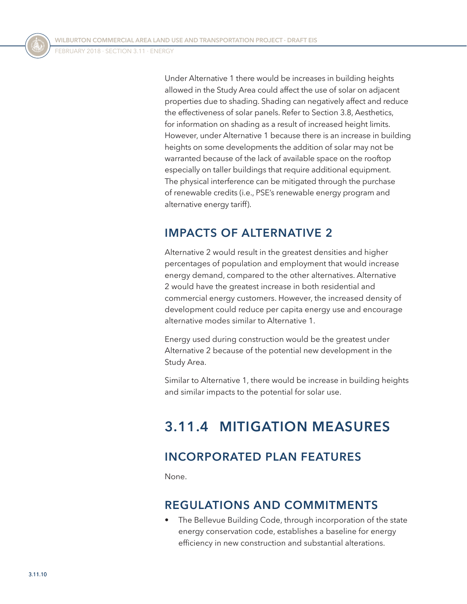Under Alternative 1 there would be increases in building heights allowed in the Study Area could affect the use of solar on adjacent properties due to shading. Shading can negatively affect and reduce the effectiveness of solar panels. Refer to Section 3.8, Aesthetics, for information on shading as a result of increased height limits. However, under Alternative 1 because there is an increase in building heights on some developments the addition of solar may not be warranted because of the lack of available space on the rooftop especially on taller buildings that require additional equipment. The physical interference can be mitigated through the purchase of renewable credits (i.e., PSE's renewable energy program and alternative energy tariff).

## **IMPACTS OF ALTERNATIVE 2**

Alternative 2 would result in the greatest densities and higher percentages of population and employment that would increase energy demand, compared to the other alternatives. Alternative 2 would have the greatest increase in both residential and commercial energy customers. However, the increased density of development could reduce per capita energy use and encourage alternative modes similar to Alternative 1.

Energy used during construction would be the greatest under Alternative 2 because of the potential new development in the Study Area.

Similar to Alternative 1, there would be increase in building heights and similar impacts to the potential for solar use.

# **3.11.4 MITIGATION MEASURES**

# **INCORPORATED PLAN FEATURES**

None.

## **REGULATIONS AND COMMITMENTS**

• The Bellevue Building Code, through incorporation of the state energy conservation code, establishes a baseline for energy efficiency in new construction and substantial alterations.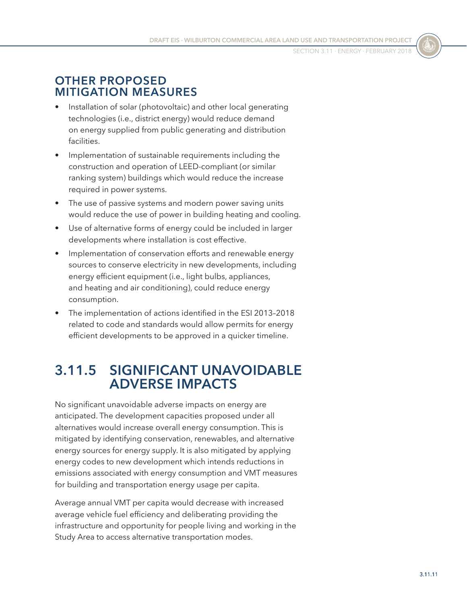## **OTHER PROPOSED MITIGATION MEASURES**

- Installation of solar (photovoltaic) and other local generating technologies (i.e., district energy) would reduce demand on energy supplied from public generating and distribution facilities.
- Implementation of sustainable requirements including the construction and operation of LEED-compliant (or similar ranking system) buildings which would reduce the increase required in power systems.
- The use of passive systems and modern power saving units would reduce the use of power in building heating and cooling.
- Use of alternative forms of energy could be included in larger developments where installation is cost effective.
- Implementation of conservation efforts and renewable energy sources to conserve electricity in new developments, including energy efficient equipment (i.e., light bulbs, appliances, and heating and air conditioning), could reduce energy consumption.
- The implementation of actions identified in the ESI 2013–2018 related to code and standards would allow permits for energy efficient developments to be approved in a quicker timeline.

# **3.11.5 SIGNIFICANT UNAVOIDABLE ADVERSE IMPACTS**

No significant unavoidable adverse impacts on energy are anticipated. The development capacities proposed under all alternatives would increase overall energy consumption. This is mitigated by identifying conservation, renewables, and alternative energy sources for energy supply. It is also mitigated by applying energy codes to new development which intends reductions in emissions associated with energy consumption and VMT measures for building and transportation energy usage per capita.

Average annual VMT per capita would decrease with increased average vehicle fuel efficiency and deliberating providing the infrastructure and opportunity for people living and working in the Study Area to access alternative transportation modes.